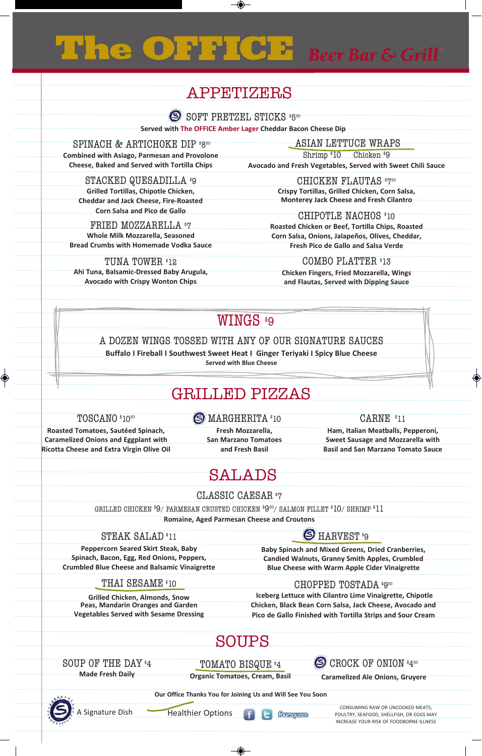# Beer Bar & Grill e OF

# aPPETIZERS

 $\rm SOFT$   $\rm PRETZEL$   $\rm STICKS$   $\rm ^{85^{\circ}O}$ 

**Served with The OFFICE Amber Lager Cheddar Bacon Cheese Dip**

SPINACH & ARTICHOKE DIP \*850 **Combined with Asiago, Parmesan and Provolone Cheese, Baked and Served with Tortilla Chips**

ASIAn leTTuCe wrAPS Shrimp \$10 Chicken \$9

**Avocado and Fresh Vegetables, Served with Sweet Chili Sauce**

STACKED QUESADILLA \$9 **Grilled Tortillas, Chipotle Chicken, Cheddar and Jack Cheese, Fire-Roasted Corn Salsa and Pico de Gallo**

FRIED MOZZARELLA \$7 **Whole Milk Mozzarella, Seasoned Bread Crumbs with Homemade Vodka Sauce**

TUNA TOWER \$12 **Ahi Tuna, Balsamic-Dressed Baby Arugula, Avocado with Crispy Wonton Chips**

CHICKEN FLAUTAS \*750 **Crispy Tortillas, Grilled Chicken, Corn Salsa,** 

**Monterey Jack Cheese and Fresh Cilantro** CHIPOTLE NACHOS \$10

**Roasted Chicken or Beef, Tortilla Chips, Roasted Corn Salsa, Onions, Jalapeños, Olives, Cheddar, Fresh Pico de Gallo and Salsa Verde** 

COMBO PLATTER \$13 **Chicken Fingers, Fried Mozzarella, Wings and Flautas, Served with Dipping Sauce**

# WINGS \$9

A DOzen wIngS TOSSeD wITh Any OF Our SIgnATure SAuCeS

**Buffalo I Fireball I Southwest Sweet Heat I Ginger Teriyaki I Spicy Blue Cheese Served with Blue Cheese**

# GRIllEd PIZZaS

### TOSCANO \$1050

**S** MARGHERITA \*10

**Roasted Tomatoes, Sautéed Spinach, Caramelized Onions and Eggplant with Ricotta Cheese and Extra Virgin Olive Oil** 

**Fresh Mozzarella, San Marzano Tomatoes and Fresh Basil** 

## CARNE \$11

**Ham, Italian Meatballs, Pepperoni, Sweet Sausage and Mozzarella with Basil and San Marzano Tomato Sauce** 

# **SALADS**

CLASSIC CAESAR<sup>\$7</sup>

grIlleD ChICKen \$9/ PArmeSAn CruSTeD ChICKen \$9 <sup>50</sup>/ SAlmOn FIlleT \$10/ ShrImP \$11

**Romaine, Aged Parmesan Cheese and Croutons** 

### STEAK SALAD<sup>\$11</sup>

**Peppercorn Seared Skirt Steak, Baby Spinach, Bacon, Egg, Red Onions, Peppers, Crumbled Blue Cheese and Balsamic Vinaigrette** 

THAI SESAME \*10

 $\bigcirc$  HARVEST  $^*$ 9 **Baby Spinach and Mixed Greens, Dried Cranberries,** 

**Candied Walnuts, Granny Smith Apples, Crumbled Blue Cheese with Warm Apple Cider Vinaigrette** 

## CHOPPED TOSTADA \*9<sup>50</sup>

**Grilled Chicken, Almonds, Snow Peas, Mandarin Oranges and Garden Vegetables Served with Sesame Dressing** 

**Iceberg Lettuce with Cilantro Lime Vinaigrette, Chipotle Chicken, Black Bean Corn Salsa, Jack Cheese, Avocado and Pico de Gallo Finished with Tortilla Strips and Sour Cream**

# SouPS

SOUP OF THE DAY \$4 **Made Fresh Daily**

TOMATO BISQUE \$4 **Organic Tomatoes, Cream, Basil** CROCK OF ONION  $^*4^{50}$ 

**Caramelized Ale Onions, Gruyere** 

**Our Office Thanks You for Joining Us and Will See You Soon**



Healthier Options

foursquare

CONSUMING RAW OR UNCOOKED MEATS, POULTRY, SEAFOOD, SHELLFISH, OR EGGS MAY INCREASE YOUR RISK OF FOODBORNE ILLNESS